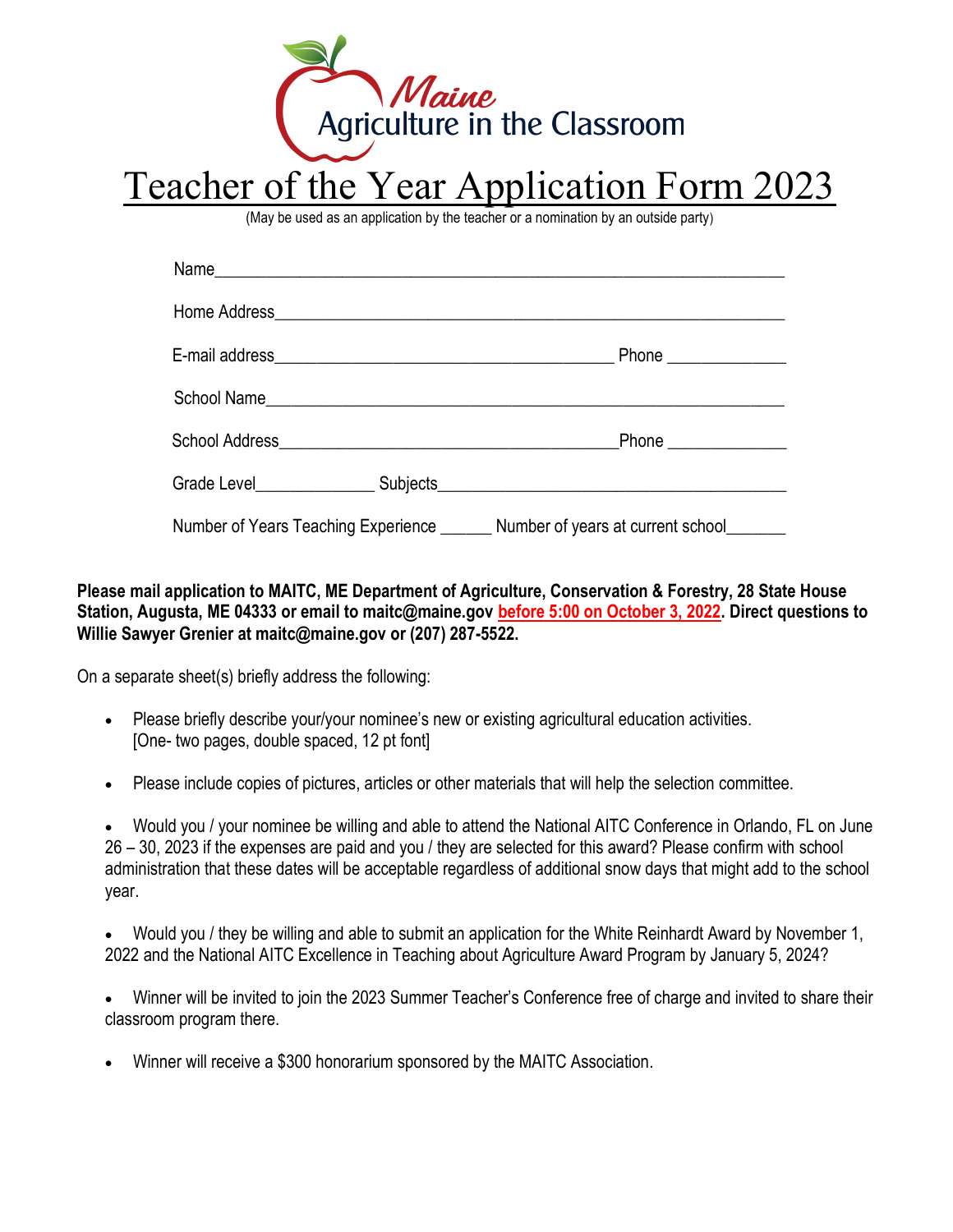

# Teacher of the Year Application Form 2023

(May be used as an application by the teacher or a nomination by an outside party)

|  |  | Number of Years Teaching Experience _______ Number of years at current school_______ |
|--|--|--------------------------------------------------------------------------------------|

#### Please mail application to MAITC, ME Department of Agriculture, Conservation & Forestry, 28 State House Station, Augusta, ME 04333 or email to maitc@maine.gov before 5:00 on October 3, 2022. Direct questions to Willie Sawyer Grenier at maitc@maine.gov or (207) 287-5522.

On a separate sheet(s) briefly address the following:

- Please briefly describe your/your nominee's new or existing agricultural education activities. [One- two pages, double spaced, 12 pt font]
- Please include copies of pictures, articles or other materials that will help the selection committee.

 Would you / your nominee be willing and able to attend the National AITC Conference in Orlando, FL on June 26 – 30, 2023 if the expenses are paid and you / they are selected for this award? Please confirm with school administration that these dates will be acceptable regardless of additional snow days that might add to the school year.

 Would you / they be willing and able to submit an application for the White Reinhardt Award by November 1, 2022 and the National AITC Excellence in Teaching about Agriculture Award Program by January 5, 2024?

 Winner will be invited to join the 2023 Summer Teacher's Conference free of charge and invited to share their classroom program there.

Winner will receive a \$300 honorarium sponsored by the MAITC Association.